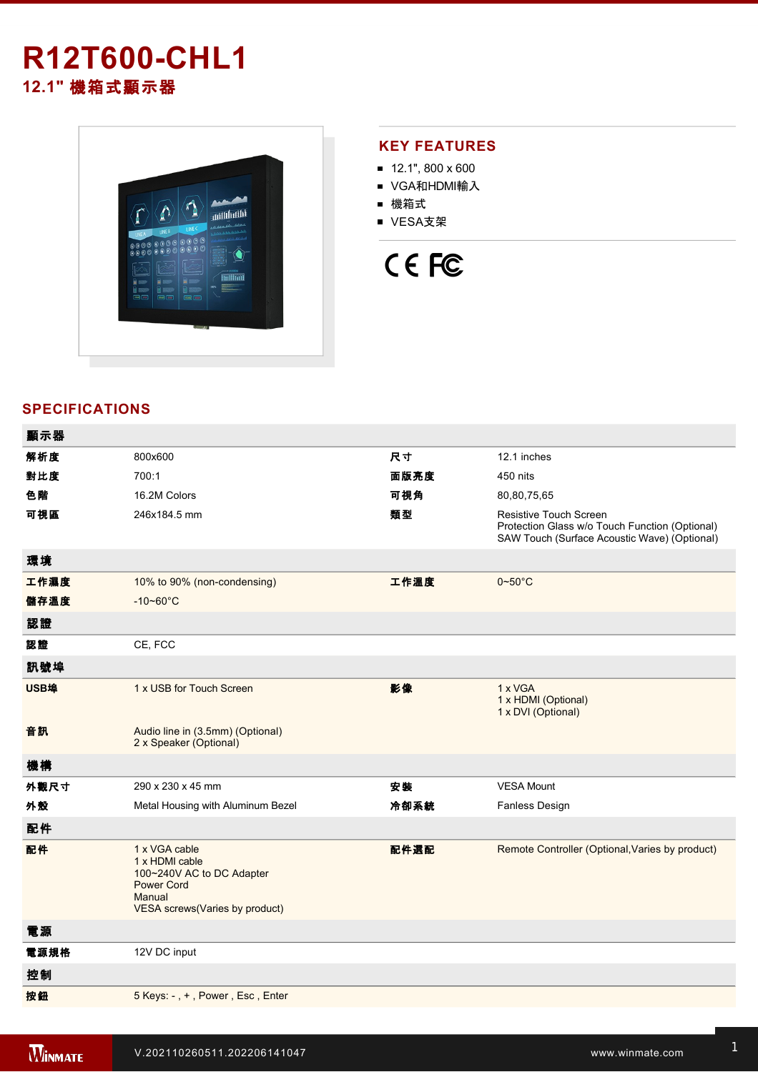# **R12T600-CHL1 12.1"** 機箱式顯示器



## **KEY FEATURES**

- $12.1$ ", 800 x 600
- VGA和HDMI輸入
- 機箱式
- VESA支架

# CE FC

### **SPECIFICATIONS**

| 顯示器  |                                                                                                                               |      |                                                                                                                                 |
|------|-------------------------------------------------------------------------------------------------------------------------------|------|---------------------------------------------------------------------------------------------------------------------------------|
| 解析度  | 800x600                                                                                                                       | 尺寸   | 12.1 inches                                                                                                                     |
| 對比度  | 700:1                                                                                                                         | 面版亮度 | 450 nits                                                                                                                        |
| 色階   | 16.2M Colors                                                                                                                  | 可視角  | 80,80,75,65                                                                                                                     |
| 可視區  | 246x184.5 mm                                                                                                                  | 類型   | <b>Resistive Touch Screen</b><br>Protection Glass w/o Touch Function (Optional)<br>SAW Touch (Surface Acoustic Wave) (Optional) |
| 環境   |                                                                                                                               |      |                                                                                                                                 |
| 工作濕度 | 10% to 90% (non-condensing)                                                                                                   | 工作溫度 | $0 - 50^{\circ}$ C                                                                                                              |
| 儲存溫度 | $-10 - 60^{\circ}C$                                                                                                           |      |                                                                                                                                 |
| 認證   |                                                                                                                               |      |                                                                                                                                 |
| 認證   | CE, FCC                                                                                                                       |      |                                                                                                                                 |
| 訊號埠  |                                                                                                                               |      |                                                                                                                                 |
| USB埠 | 1 x USB for Touch Screen                                                                                                      | 影像   | 1 x VGA<br>1 x HDMI (Optional)<br>1 x DVI (Optional)                                                                            |
| 音訊   | Audio line in (3.5mm) (Optional)<br>2 x Speaker (Optional)                                                                    |      |                                                                                                                                 |
| 機構   |                                                                                                                               |      |                                                                                                                                 |
| 外觀尺寸 | 290 x 230 x 45 mm                                                                                                             | 安裝   | <b>VESA Mount</b>                                                                                                               |
| 外殼   | Metal Housing with Aluminum Bezel                                                                                             | 冷卻系統 | Fanless Design                                                                                                                  |
| 配件   |                                                                                                                               |      |                                                                                                                                 |
| 配件   | 1 x VGA cable<br>1 x HDMI cable<br>100~240V AC to DC Adapter<br><b>Power Cord</b><br>Manual<br>VESA screws(Varies by product) | 配件選配 | Remote Controller (Optional, Varies by product)                                                                                 |
| 電源   |                                                                                                                               |      |                                                                                                                                 |
| 電源規格 | 12V DC input                                                                                                                  |      |                                                                                                                                 |
| 控制   |                                                                                                                               |      |                                                                                                                                 |
| 按鈕   | 5 Keys: -, +, Power, Esc, Enter                                                                                               |      |                                                                                                                                 |
|      |                                                                                                                               |      |                                                                                                                                 |